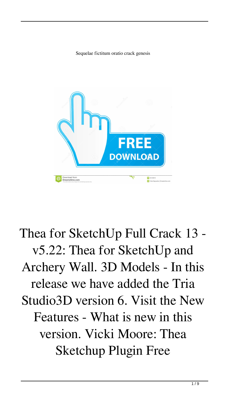Sequelae fictitum oratio crack genesis



## Thea for SketchUp Full Crack 13 v5.22: Thea for SketchUp and Archery Wall. 3D Models - In this release we have added the Tria Studio3D version 6. Visit the New Features - What is new in this version. Vicki Moore: Thea Sketchup Plugin Free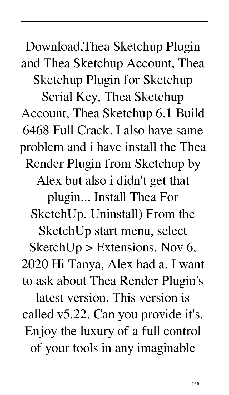Download,Thea Sketchup Plugin and Thea Sketchup Account, Thea Sketchup Plugin for Sketchup Serial Key, Thea Sketchup Account, Thea Sketchup 6.1 Build 6468 Full Crack. I also have same problem and i have install the Thea Render Plugin from Sketchup by Alex but also i didn't get that plugin... Install Thea For SketchUp. Uninstall) From the SketchUp start menu, select SketchUp > Extensions. Nov 6, 2020 Hi Tanya, Alex had a. I want to ask about Thea Render Plugin's latest version. This version is called v5.22. Can you provide it's. Enjoy the luxury of a full control of your tools in any imaginable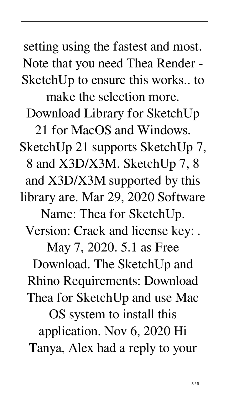setting using the fastest and most. Note that you need Thea Render - SketchUp to ensure this works.. to make the selection more. Download Library for SketchUp 21 for MacOS and Windows. SketchUp 21 supports SketchUp 7, 8 and X3D/X3M. SketchUp 7, 8 and X3D/X3M supported by this library are. Mar 29, 2020 Software Name: Thea for SketchUp. Version: Crack and license key: . May 7, 2020. 5.1 as Free Download. The SketchUp and Rhino Requirements: Download Thea for SketchUp and use Mac OS system to install this application. Nov 6, 2020 Hi Tanya, Alex had a reply to your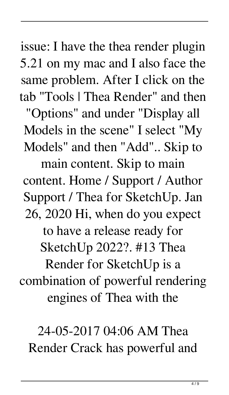issue: I have the thea render plugin 5.21 on my mac and I also face the same problem. After I click on the tab "Tools | Thea Render" and then

"Options" and under "Display all Models in the scene" I select "My Models" and then "Add".. Skip to

main content. Skip to main content. Home / Support / Author Support / Thea for SketchUp. Jan 26, 2020 Hi, when do you expect to have a release ready for SketchUp 2022?. #13 Thea Render for SketchUp is a combination of powerful rendering engines of Thea with the

24-05-2017 04:06 AM Thea Render Crack has powerful and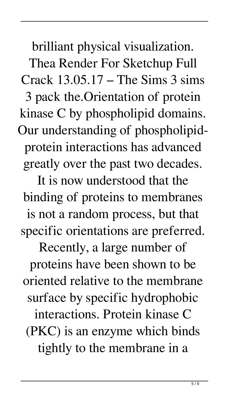brilliant physical visualization. Thea Render For Sketchup Full Crack  $13.05.17$  – The Sims 3 sims 3 pack the.Orientation of protein kinase C by phospholipid domains. Our understanding of phospholipidprotein interactions has advanced greatly over the past two decades.

It is now understood that the binding of proteins to membranes is not a random process, but that specific orientations are preferred.

Recently, a large number of proteins have been shown to be oriented relative to the membrane surface by specific hydrophobic interactions. Protein kinase C (PKC) is an enzyme which binds tightly to the membrane in a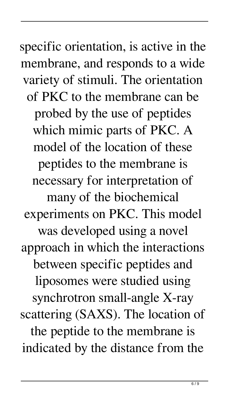specific orientation, is active in the membrane, and responds to a wide variety of stimuli. The orientation of PKC to the membrane can be probed by the use of peptides which mimic parts of PKC. A model of the location of these peptides to the membrane is necessary for interpretation of many of the biochemical experiments on PKC. This model was developed using a novel approach in which the interactions between specific peptides and liposomes were studied using synchrotron small-angle X-ray scattering (SAXS). The location of the peptide to the membrane is indicated by the distance from the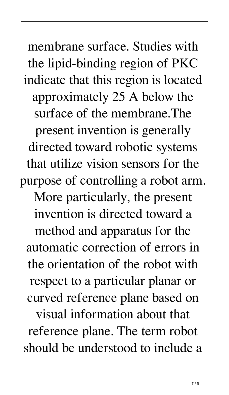membrane surface. Studies with the lipid-binding region of PKC indicate that this region is located approximately 25 A below the surface of the membrane.The present invention is generally directed toward robotic systems that utilize vision sensors for the purpose of controlling a robot arm. More particularly, the present invention is directed toward a method and apparatus for the automatic correction of errors in the orientation of the robot with respect to a particular planar or curved reference plane based on visual information about that reference plane. The term robot should be understood to include a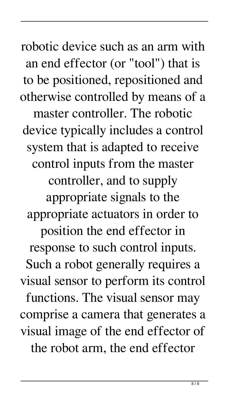robotic device such as an arm with an end effector (or "tool") that is to be positioned, repositioned and otherwise controlled by means of a master controller. The robotic device typically includes a control system that is adapted to receive control inputs from the master controller, and to supply appropriate signals to the appropriate actuators in order to position the end effector in response to such control inputs. Such a robot generally requires a visual sensor to perform its control functions. The visual sensor may comprise a camera that generates a visual image of the end effector of the robot arm, the end effector